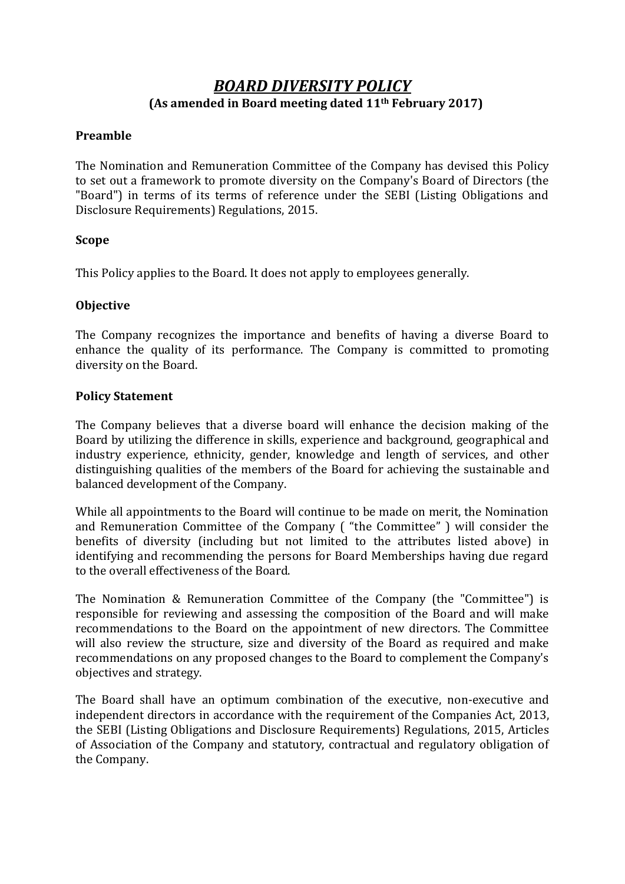# *BOARD DIVERSITY POLICY* **(As amended in Board meeting dated 11th February 2017)**

## **Preamble**

The Nomination and Remuneration Committee of the Company has devised this Policy to set out a framework to promote diversity on the Company's Board of Directors (the "Board") in terms of its terms of reference under the SEBI (Listing Obligations and Disclosure Requirements) Regulations, 2015.

## **Scope**

This Policy applies to the Board. It does not apply to employees generally.

#### **Objective**

The Company recognizes the importance and benefits of having a diverse Board to enhance the quality of its performance. The Company is committed to promoting diversity on the Board.

#### **Policy Statement**

The Company believes that a diverse board will enhance the decision making of the Board by utilizing the difference in skills, experience and background, geographical and industry experience, ethnicity, gender, knowledge and length of services, and other distinguishing qualities of the members of the Board for achieving the sustainable and balanced development of the Company.

While all appointments to the Board will continue to be made on merit, the Nomination and Remuneration Committee of the Company ( "the Committee" ) will consider the benefits of diversity (including but not limited to the attributes listed above) in identifying and recommending the persons for Board Memberships having due regard to the overall effectiveness of the Board.

The Nomination & Remuneration Committee of the Company (the "Committee") is responsible for reviewing and assessing the composition of the Board and will make recommendations to the Board on the appointment of new directors. The Committee will also review the structure, size and diversity of the Board as required and make recommendations on any proposed changes to the Board to complement the Company's objectives and strategy.

The Board shall have an optimum combination of the executive, non-executive and independent directors in accordance with the requirement of the Companies Act, 2013, the SEBI (Listing Obligations and Disclosure Requirements) Regulations, 2015, Articles of Association of the Company and statutory, contractual and regulatory obligation of the Company.